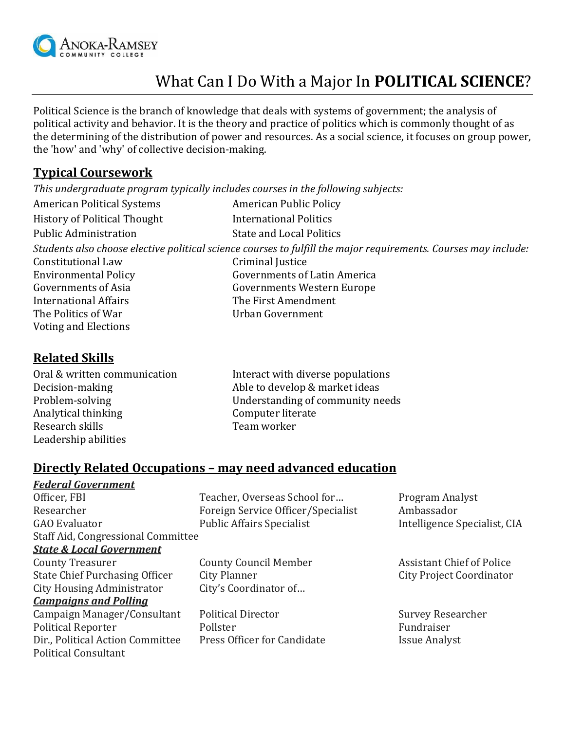

# What Can I Do With a Major In **POLITICAL SCIENCE**?

Political Science is the branch of knowledge that deals with systems of government; the analysis of political activity and behavior. It is the theory and practice of politics which is commonly thought of as the determining of the distribution of power and resources. As a social science, it focuses on group power, the 'how' and 'why' of collective decision-making.

### **Typical Coursework**

*This undergraduate program typically includes courses in the following subjects:* 

| <b>American Political Systems</b>                                                                               | American Public Policy            |  |
|-----------------------------------------------------------------------------------------------------------------|-----------------------------------|--|
| <b>History of Political Thought</b>                                                                             | <b>International Politics</b>     |  |
| <b>Public Administration</b>                                                                                    | <b>State and Local Politics</b>   |  |
| Students also choose elective political science courses to fulfill the major requirements. Courses may include: |                                   |  |
| Constitutional Law                                                                                              | Criminal Justice                  |  |
| <b>Environmental Policy</b>                                                                                     | Governments of Latin America      |  |
| Governments of Asia                                                                                             | <b>Governments Western Europe</b> |  |
| <b>International Affairs</b>                                                                                    | The First Amendment               |  |
| The Politics of War                                                                                             | Urban Government                  |  |
| Voting and Elections                                                                                            |                                   |  |

### **Related Skills**

Analytical thinking Computer literate Research skills Team worker Leadership abilities

Oral & written communication **Interact with diverse populations** Decision-making and able to develop & market ideas Problem-solving Understanding of community needs

### **Directly Related Occupations – may need advanced education**

#### *Federal Government*

Officer, FBI Teacher, Overseas School for... Program Analyst Researcher Foreign Service Officer/Specialist Ambassador GAO Evaluator **Public Affairs Specialist** Intelligence Specialist, CIA Staff Aid, Congressional Committee

#### *State & Local Government*

County Treasurer County County Council Member Assistant Chief of Police State Chief Purchasing Officer City Planner City Project Coordinator City Housing Administrator City's Coordinator of...

#### *Campaigns and Polling*

Campaign Manager/Consultant Political Director Survey Researcher Political Reporter **Political Reporter** Polister **Political Reporter** Political Providence Political Providence Political Providence Providence Providence Providence Providence Providence Providence Providence Providence P Dir., Political Action Committee Press Officer for Candidate **Issue Analyst** Political Consultant